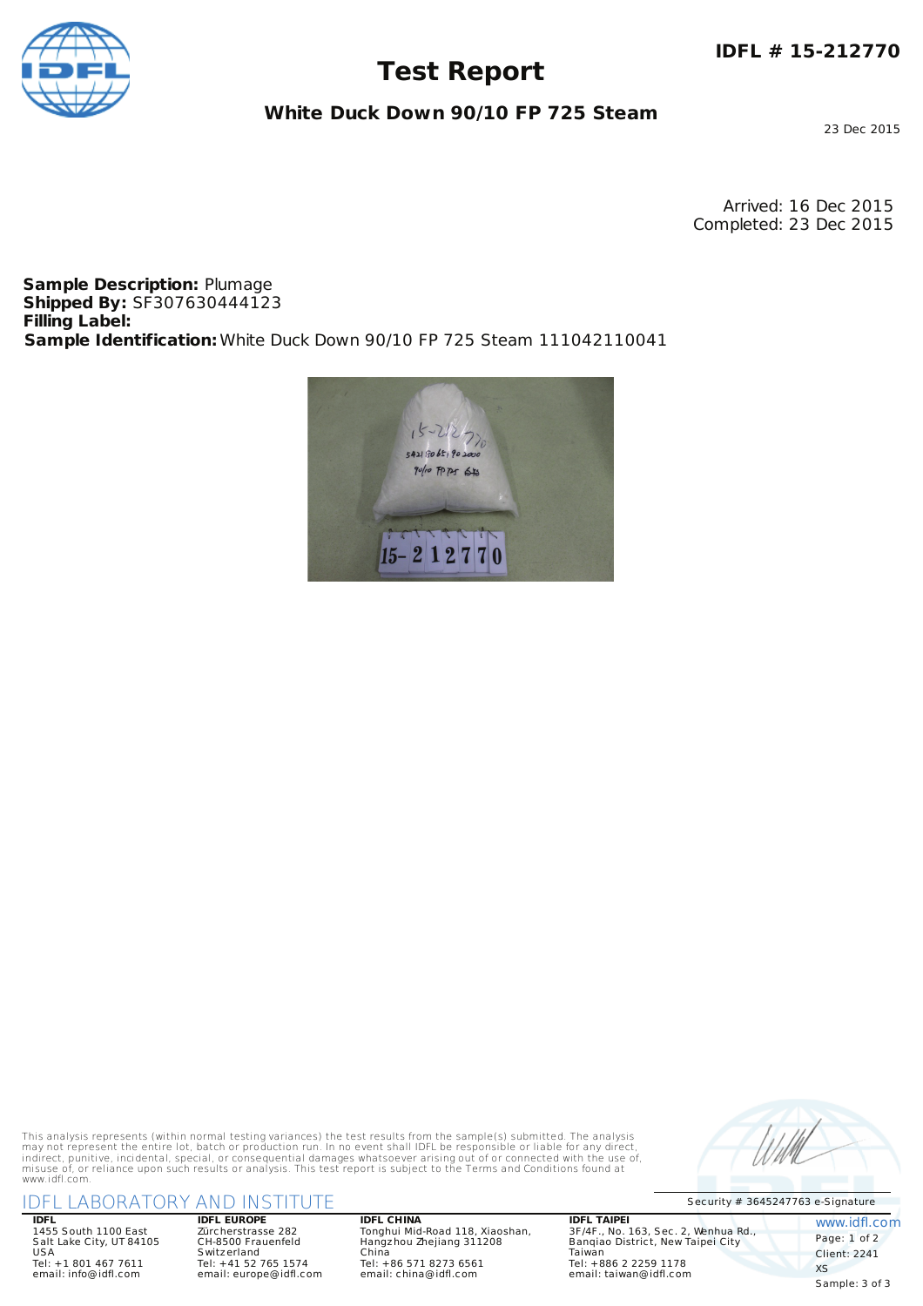

## **Test Report**

**White Duck Down 90/10 FP 725 Steam**

23 Dec 2015

Arrived: 16 Dec 2015 Completed: 23 Dec 2015

**Sample Description:** Plumage **Shipped By:** SF307630444123 **Filling Label: Sample Identification:**White Duck Down 90/10 FP 725 Steam 111042110041



This analysis represents (within normal testing variances) the test results from the sample(s) submitted. The analysis may not represent the entire lot, batch or production run. In no event shall IDFL be responsible or liable for any direct,<br>indirect, punitive, incidental, special, or consequential damages whatsoever arising out of or conn www.idfl.com.

### Security # <sup>3645247763</sup> e-Signature IDFL LABORATORY AND INSTITUTE

**IDFL** 1455 South 1100 East Salt Lake City, UT 84105 USA Tel: +1 801 467 7611 email: info@idfl.com

**IDFL EUROPE** Zürcherstrasse 282 CH-8500 Frauenfeld S witzerland Tel: +41 52 765 1574 email: europe@idfl.com **IDFL CHINA** Tonghui Mid-Road 118, Xiaoshan, Hangzhou Zhejiang 311208 China Tel: +86 571 8273 6561 email: china@idfl.com

**IDFL TAIPEI** 3F/4F., No. 163, Sec. 2, Wenhua Rd., Banqiao District, New Taipei City Taiwan Tel: +886 2 2259 1178 email: taiwan@idfl.com

www.idfl.com Page: 1 of 2 Client: 2241 XS Sample: 3 of 3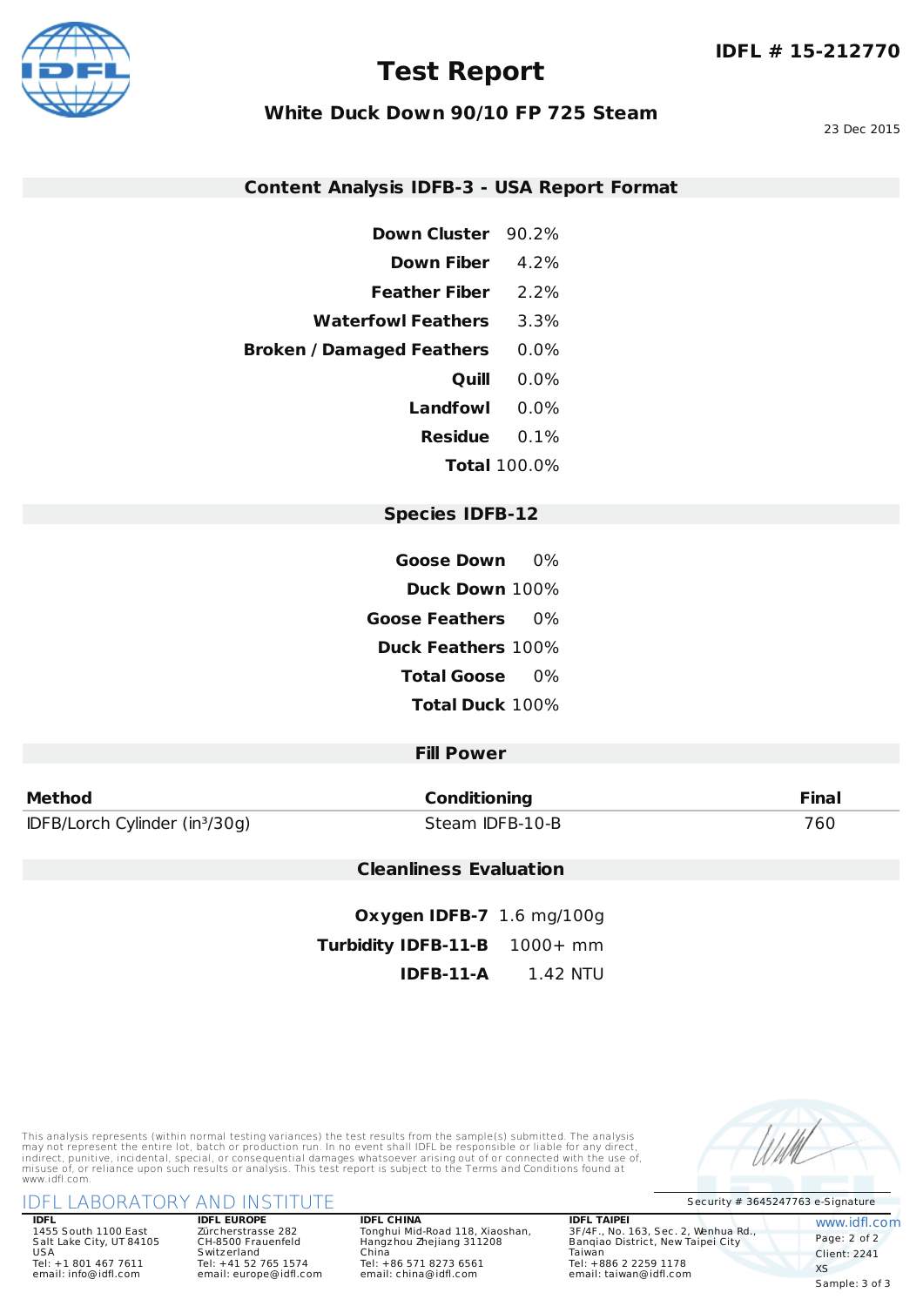

## **Test Report**

#### **White Duck Down 90/10 FP 725 Steam**

23 Dec 2015

#### **Content Analysis IDFB-3 - USA Report Format**

- **Down Cluster** 90.2%
- **Down Fiber** 4.2%
- **Feather Fiber** 2.2%
- **Waterfowl Feathers** 3.3%
- **Broken / Damaged Feathers** 0.0%
	- **Quill** 0.0%
	- **Landfowl** 0.0%
	- **Residue** 0.1%
		- **Total** 100.0%

#### **Species IDFB-12**

- **Goose Down** 0%
- **Duck Down** 100%
- **Goose Feathers** 0%
	- **Duck Feathers** 100%
		- **Total Goose** 0%
		- **Total Duck** 100%

#### **Fill Power**

| <b>Method</b>                              | <b>Conditioning</b> | <b>Final</b> |
|--------------------------------------------|---------------------|--------------|
| IDFB/Lorch Cylinder (in <sup>3</sup> /30g) | Steam IDFB-10-B     | 760          |

#### **Cleanliness Evaluation**

**Oxygen IDFB-7** 1.6 mg/100g **Turbidity IDFB-11-B** 1000+ mm **IDFB-11-A** 1.42 NTU

This analysis represents (within normal testing variances) the test results from the sample(s) submitted. The analysis may not represent the entire lot, batch or production run. In no event shall IDFL be responsible or liable for any direct,<br>indirect, punitive, incidental, special, or consequential damages whatsoever arising out of or conn www.idfl.com.

#### Security # <sup>3645247763</sup> e-Signature IDFL LABORATORY AND INSTITUTE

**IDFL** 1455 South 1100 East Salt Lake City, UT 84105 USA Tel: +1 801 467 7611 email: info@idfl.com

**IDFL EUROPE** Zürcherstrasse 282 CH-8500 Frauenfeld S witzerland Tel: +41 52 765 1574 email: europe@idfl.com

#### **IDFL CHINA** Tonghui Mid-Road 118, Xiaoshan, Hangzhou Zhejiang 311208 China Tel: +86 571 8273 6561 email: china@idfl.com

**IDFL TAIPEI** 3F/4F., No. 163, Sec. 2, Wenhua Rd., Banqiao District, New Taipei City Taiwan Tel: +886 2 2259 1178 email: taiwan@idfl.com

www.idfl.com Page: 2 of 2 Client: 2241 XS Sample: 3 of 3